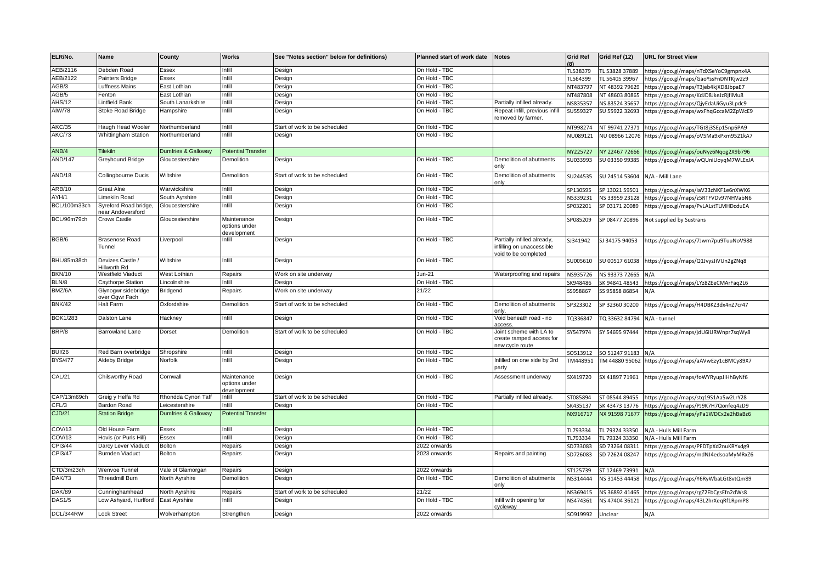| ELR/No.         | Name                                       | County                         | Works                                       | See "Notes section" below for definitions) | Planned start of work date | <b>Notes</b>                                                                     | <b>Grid Ref</b> | Grid Ref (12)  | <b>URL for Street View</b>            |
|-----------------|--------------------------------------------|--------------------------------|---------------------------------------------|--------------------------------------------|----------------------------|----------------------------------------------------------------------------------|-----------------|----------------|---------------------------------------|
| AEB/2116        | Debden Road                                | Essex                          | Infill                                      | Design                                     | On Hold - TBC              |                                                                                  | TL538379        | TL 53828 37889 | https://goo.gl/maps/nTdXSeYoC9gmpnx4A |
| AEB/2122        | Painters Bridge                            | Essex                          | Infill                                      | Design                                     | On Hold - TBC              |                                                                                  | TL564399        | TL 56405 39967 | https://goo.gl/maps/GaoYssFnDNTKjw2z9 |
| AGB/3           | uffness Mains                              | East Lothian                   | Infill                                      | Design                                     | On Hold - TBC              |                                                                                  | NT483797        | NT 48392 79629 | https://goo.gl/maps/T3jeb4kjXD8JbpaE7 |
| GB/5            | Fenton                                     | East Lothian                   | Infill                                      | Design                                     | On Hold - TBC              |                                                                                  | NT487808        | NT 48603 80865 | https://goo.gl/maps/KdJD8JkeJzRjfiMu8 |
| <b>HS/12</b>    | intfield Bank                              | South Lanarkshire              | Infill                                      | Design                                     | On Hold - TBC              | Partially infilled already                                                       | NS835357        | NS 83524 35657 | https://goo.gl/maps/QjyEdaUiGyu3Lpdc9 |
| AIW/78          | Stoke Road Bridge                          | Hampshire                      | Infill                                      | Design                                     | On Hold - TBC              | Repeat infill, previous infill<br>removed by farmer.                             | SU559327        | SU 55922 32693 | https://goo.gl/maps/wxFhqGccaM2ZpWcE9 |
| AKC/35          | Haugh Head Wooler                          | Northumberland                 | Infill                                      | Start of work to be scheduled              | On Hold - TBC              |                                                                                  | NT998274        | NT 99741 27371 | https://goo.gl/maps/TGt8j3SEp15np6PA9 |
| AKC/73          | <b>Whittingham Station</b>                 | Vorthumberland                 | Infill                                      | Design                                     | On Hold - TBC              |                                                                                  | NU089121        | NU 08966 12076 | https://goo.gl/maps/oV5Ma9xPxm9521kA7 |
| ANB/4           | <b>Tilekiln</b>                            | Dumfries & Galloway            | <b>Potential Transfer</b>                   |                                            |                            |                                                                                  | NY225727        | NY 22467 72666 | nttps://goo.gl/maps/ouNyz6Nqog2X9b796 |
| AND/147         | Greyhound Bridge                           | Gloucestershire                | Demolition                                  | Design                                     | On Hold - TBC              | Demolition of abutments<br>only                                                  | SU033993        | SU 03350 99385 | https://goo.gl/maps/wQUniUoyqM7WLExJA |
| AND/18          | Collingbourne Ducis                        | Wiltshire                      | Demolition                                  | Start of work to be scheduled              | On Hold - TBC              | Demolition of abutments<br>onlv                                                  | SU244535        | SU 24514 53604 | N/A - Mill Lane                       |
| ARB/10          | Great Alne                                 | Warwickshire                   | Infill                                      | Design                                     | On Hold - TBC              |                                                                                  | SP130595        | SP 13021 59501 | https://goo.gl/maps/iaV33zNKF1e6nXWK6 |
| AYH/1           | Limekiln Road                              | South Ayrshire                 | Infill                                      | Design                                     | On Hold - TBC              |                                                                                  | NS339231        | NS 33959 23128 | https://goo.gl/maps/z5RTFVDv97NHVabN6 |
| BCL/100m33ch    | Syreford Road bridge,<br>hear Andoversford | Gloucestershire                | Infill                                      | Design                                     | On Hold - TBC              |                                                                                  | SP032201        | SP 03171 20089 | https://goo.gl/maps/PvLALstTLMHDcduEA |
| BCL/96m79ch     | Crows Castle                               | Gloucestershire                | Maintenance<br>options under<br>development | Design                                     | On Hold - TBC              |                                                                                  | SP085209        | SP 08477 20896 | Not supplied by Sustrans              |
| BGB/6           | <b>Brasenose Road</b><br>Tunnel            | Liverpool                      | Infill                                      | Design                                     | On Hold - TBC              | Partially infilled already,<br>infilling on unaccessible<br>void to be completed | 5J341942        | SJ 34175 94053 | https://goo.gl/maps/7Jwm7pu9TuuNoV988 |
| BHL/85m38ch     | Devizes Castle /<br>Hillworth Rd           | Wiltshire                      | Infill                                      | Design                                     | On Hold - TBC              |                                                                                  | SU005610        | SU 00517 61038 | https://goo.gl/maps/Q1JvysJiVUn2gZNq8 |
| <b>BKN/10</b>   | Westfield Viaduct                          | West Lothian                   | Repairs                                     | Work on site underway                      | Jun-21                     | Waterproofing and repairs                                                        | NS935726        | NS 93373 72665 | N/A                                   |
| BLN/8           | Caythorpe Station                          | .incolnshire                   | Infill                                      | Design                                     | On Hold - TBC              |                                                                                  | SK948486        | K 94841 48543  | https://goo.gl/maps/LYz8ZEeCMArFaq2L6 |
| BMZ/6A          | Glynogwr sidebridge<br>over Ogwr Fach      | Bridgend                       | Repairs                                     | Work on site underway                      | 21/22                      |                                                                                  | SS958867        | SS 95858 86854 | N/A                                   |
| <b>BNK/42</b>   | Halt Farm                                  | Oxfordshire                    | Demolition                                  | Start of work to be scheduled              | On Hold - TBC              | Demolition of abutments<br>onlv.                                                 | SP323302        | SP 32360 30200 | https://goo.gl/maps/H4DBKZ3dx4nZ7cr47 |
| <b>BOK1/283</b> | Dalston Lane                               | Hackney                        | Infill                                      | Design                                     | On Hold - TBC              | Void beneath road - no<br>access                                                 | TQ336847        | TQ 33632 84794 | N/A - tunnel                          |
| BRP/8           | <b>Barrowland Lane</b>                     | Dorset                         | Demolition                                  | Start of work to be scheduled              | On Hold - TBC              | Joint scheme with LA to<br>create ramped access for<br>new cycle route           | SY547974        | SY 54695 97444 | https://goo.gl/maps/jdU6iURWnpr7sqWy8 |
| <b>BUI/26</b>   | Red Barn overbridge                        | Shropshire                     | nfill                                       | Design                                     | On Hold - TBC              |                                                                                  | 60513912        | SO 51247 91183 | N/A                                   |
| <b>BYS/477</b>  | Aldeby Bridge                              | Norfolk                        | nfill                                       | Design                                     | On Hold - TBC              | Infilled on one side by 3rd<br>party                                             | TM448951        | TM 44880 95062 | https://goo.gl/maps/aAVwEzy1cBMCy89X7 |
| CAL/21          | Chilsworthy Road                           | Cornwall                       | Maintenance<br>options under<br>development | Design                                     | On Hold - TBC              | Assessment underway                                                              | SX419720        | SX 41897 71961 | https://goo.gl/maps/foWYRyupJiHhByNf6 |
| CAP/13m69ch     | Greig y Helfa Rd                           | Rhondda Cynon Taff             | Infill                                      | Start of work to be scheduled              | On Hold - TBC              | Partially infilled already.                                                      | ST085894        | ST 08544 89455 | https://goo.gl/maps/stq19S1Aa5w2LrY28 |
| CFL/3           | Bardon Road                                | eicestershire                  | nfill                                       | Design                                     | On Hold - TBC              |                                                                                  | SK435137        | SK 43473 13776 | https://goo.gl/maps/PJ9K7H7Qonfeq4zD9 |
| CJD/21          | <b>Station Bridge</b>                      | <b>Dumfries &amp; Galloway</b> | <b>Potential Transfer</b>                   |                                            |                            |                                                                                  | NX916717        | NX 91598 71677 | https://goo.gl/maps/yPa1WDCx2e2hBaBz6 |
| COV/13          | Old House Farm                             | <b>Essex</b>                   | Infill                                      | Design                                     | On Hold - TBC              |                                                                                  | TL793334        | TL 79324 33350 | N/A - Hulls Mill Farm                 |
| COV/13          | Hovis (or Purls Hill)                      | Essex                          | Infill                                      | Design                                     | On Hold - TBC              |                                                                                  | TL793334        | TL 79324 33350 | N/A - Hulls Mill Farm                 |
| CPI3/44         | Darcy Lever Viaduct                        | <b>Bolton</b>                  | Repairs                                     | Design                                     | 2022 onwards               |                                                                                  | SD733083        | SD 73264 08311 | https://goo.gl/maps/PFDTpXd2nuKRYxdg9 |
| CPI3/47         | <b>Burnden Viaduct</b>                     | Bolton                         | Repairs                                     | Design                                     | 2023 onwards               | Repairs and painting                                                             | SD726083        | SD 72624 08247 | https://goo.gl/maps/mdNJ4edsoaMyMRxZ6 |
| CTD/3m23ch      | Wenvoe Tunnel                              | Vale of Glamorgan              | Repairs                                     | Design                                     | 2022 onwards               |                                                                                  | ST125739        | ST 12469 73991 | N/A                                   |
| <b>DAK/73</b>   | Threadmill Burn                            | North Ayrshire                 | Demolition                                  | Design                                     | On Hold - TBC              | Demolition of abutments<br>only                                                  | NS314444        | NS 31453 44458 | https://goo.gl/maps/Y6RyWbaLGt8vtQm89 |
| <b>DAK/89</b>   | Cunninghamhead                             | North Ayrshire                 | Repairs                                     | Start of work to be scheduled              | 21/22                      |                                                                                  | NS369415        | NS 36892 41465 | https://goo.gl/maps/rgZ2EbCgsEfn2dWs8 |
| <b>DAS1/5</b>   | _ow Ashyard, Hurlford                      | East Ayrshire                  | Infill                                      | Design                                     | On Hold - TBC              | Infill with opening for<br>cycleway                                              | NS474361        | NS 47404 36121 | https://goo.gl/maps/43L2hrXeqRf1RpmP8 |
| DCL/344RW       | <b>Lock Street</b>                         | Wolverhampton                  | Strengthen                                  | Design                                     | 2022 onwards               |                                                                                  | SO919992        | Unclear        | N/A                                   |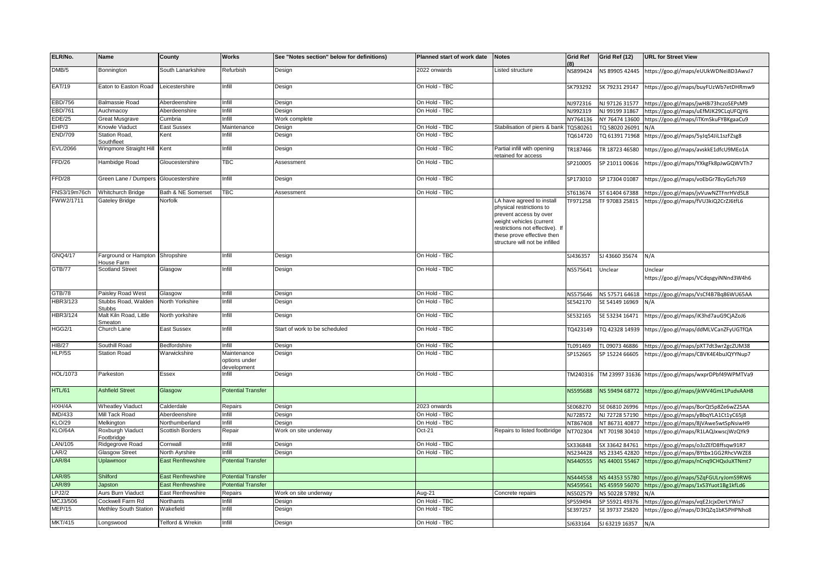| ELR/No.        | Name                                 | County                   | Works                                       | See "Notes section" below for definitions) | Planned start of work date | Notes                                                                                                                                                                                                          | <b>Grid Ref</b> | Grid Ref (12)      | <b>URL for Street View</b>                           |
|----------------|--------------------------------------|--------------------------|---------------------------------------------|--------------------------------------------|----------------------------|----------------------------------------------------------------------------------------------------------------------------------------------------------------------------------------------------------------|-----------------|--------------------|------------------------------------------------------|
| DMB/5          | Bonnington                           | South Lanarkshire        | Refurbish                                   | Design                                     | 2022 onwards               | Listed structure                                                                                                                                                                                               | NS899424        | NS 89905 42445     | https://goo.gl/maps/eUUkWDNei8D3AwvJ7                |
| EAT/19         | Eaton to Easton Road                 | Leicestershire           | Infill                                      | Design                                     | On Hold - TBC              |                                                                                                                                                                                                                | SK793292        | SK 79231 29147     | https://goo.gl/maps/buyFUzWb7etDHRmw9                |
| <b>EBD/756</b> | <b>Balmassie Road</b>                | Aberdeenshire            | Infill                                      | Design                                     | On Hold - TBC              |                                                                                                                                                                                                                | NJ972316        | NJ 97126 31577     | https://goo.gl/maps/jwH8i73hczoSEPsM9                |
| EBD/761        | Auchmacoy                            | Aberdeenshire            | Infill                                      | Design                                     | On Hold - TBC              |                                                                                                                                                                                                                | NJ992319        | NJ 99199 31867     | https://goo.gl/maps/uEfMJK29CLqUFQjY6                |
| <b>EDE/25</b>  | Great Musgrave                       | Cumbria                  | Infill                                      | Work complete                              |                            |                                                                                                                                                                                                                | NY764136        | NY 76474 13600     | https://goo.gl/maps/iTKmSkuFYBKgaaCu9                |
| EHP/3          | Knowle Viaduct                       | East Sussex              | Maintenance                                 | Design                                     | On Hold - TBC              | Stabilisation of piers & bank                                                                                                                                                                                  | TQ580261        | TQ 58020 26091     | N/A                                                  |
| <b>END/709</b> | Station Road,<br>Southfleet          | Kent                     | Infill                                      | Design                                     | On Hold - TBC              |                                                                                                                                                                                                                | TQ614720        | TQ 61391 71968     | https://goo.gl/maps/5yJq54JiL1szFZsg8                |
| EVL/2066       | Wingmore Straight Hill               | Kent                     | Infill                                      | Design                                     | On Hold - TBC              | Partial infill with opening<br>etained for access                                                                                                                                                              | TR187466        | TR 18723 46580     | https://goo.gl/maps/avskkE1dfcU9MEo1A                |
| FFD/26         | Hambidge Road                        | Gloucestershire          | TBC                                         | Assessment                                 | On Hold - TBC              |                                                                                                                                                                                                                | SP210005        | SP 21011 00616     | https://goo.gl/maps/YXkgFk8pJwGQWVTh7                |
| FFD/28         | Green Lane / Dumpers                 | Gloucestershire          | Infill                                      | Design                                     | On Hold - TBC              |                                                                                                                                                                                                                | SP173010        | SP 17304 01087     | https://goo.gl/maps/voEbGr78cyGzfs769                |
| FNS3/19m76ch   | Whitchurch Bridge                    | Bath & NE Somerset       | TBC                                         | Assessment                                 | On Hold - TBC              |                                                                                                                                                                                                                | ST613674        | ST 61404 67388     | https://goo.gl/maps/jvVuwNZTFnrHVd5L8                |
| FWW2/1711      | <b>Gateley Bridge</b>                | Norfolk                  |                                             |                                            |                            | LA have agreed to install<br>physical restrictions to<br>prevent access by over<br>weight vehicles (current<br>restrictions not effective). If<br>these prove effective then<br>structure will not be infilled | TF971258        | TF 97083 25815     | https://goo.gl/maps/fVU3kiQ2CrZJ6tfL6                |
| GNQ4/17        | Farground or Hampton<br>House Farm   | Shropshire               | Infill                                      | Design                                     | On Hold - TBC              |                                                                                                                                                                                                                | SJ436357        | SJ 43660 35674     | N/A                                                  |
| GTB/77         | <b>Scotland Street</b>               | Glasgow                  | Infill                                      | Design                                     | On Hold - TBC              |                                                                                                                                                                                                                | NS575641        | Unclear            | Unclear<br>https://goo.gl/maps/VCdqsgyiNNnd3W4h6     |
| GTB/78         | Paisley Road West                    | Glasgow                  | Infill                                      | Design                                     | On Hold - TBC              |                                                                                                                                                                                                                | NS575646        | NS 57571 64618     | https://goo.gl/maps/VsCf4B7Bq86WU65AA                |
| HBR3/123       | Stubbs Road, Walden<br><b>Stubbs</b> | North Yorkshire          | Infill                                      | Design                                     | On Hold - TBC              |                                                                                                                                                                                                                | SE542170        | SE 54149 16969     | N/A                                                  |
| HBR3/124       | Malt Kiln Road, Little<br>Smeaton    | North yorkshire          | Infill                                      | Design                                     | On Hold - TBC              |                                                                                                                                                                                                                | SE532165        | SE 53234 16471     | https://goo.gl/maps/iK3hd7auG9CjAZoJ6                |
| <b>HGG2/1</b>  | Church Lane                          | East Sussex              | Infill                                      | Start of work to be scheduled              | On Hold - TBC              |                                                                                                                                                                                                                | TQ423149        | TQ 42328 14939     | https://goo.gl/maps/ddMLVCanZFyUGTfQA                |
| <b>HIB/27</b>  | Southill Road                        | Bedfordshire             | Infill                                      | Design                                     | On Hold - TBC              |                                                                                                                                                                                                                | TL091469        | TL 09073 46886     | https://goo.gl/maps/pXT7dt3wr2gcZUM38                |
| HLP/5S         | <b>Station Road</b>                  | Warwickshire             | Maintenance<br>options under<br>development | Design                                     | On Hold - TBC              |                                                                                                                                                                                                                | SP152665        | SP 15224 66605     | https://goo.gl/maps/CBVK4E4buJQYYNup7                |
| HOL/1073       | Parkeston                            | Essex                    | Infill                                      | Design                                     | On Hold - TBC              |                                                                                                                                                                                                                | TM240316        |                    | TM 23997 31636 https://goo.gl/maps/wxprDPbf49WPMTVa9 |
| HTL/61         | <b>Ashfield Street</b>               | Glasgow                  | <b>Potential Transfer</b>                   |                                            |                            |                                                                                                                                                                                                                | NS595688        | NS 59494 68772     | https://goo.gl/maps/jkWV4GmL1PudvAAH8                |
| HXH/4A         | <b>Wheatley Viaduct</b>              | Calderdale               | Repairs                                     | Design                                     | 2023 onwards               |                                                                                                                                                                                                                | SE068270        | SE 06810 26996     | https://goo.gl/maps/BorQt5p8Ze6wZ2SAA                |
| IMD/433        | Mill Tack Road                       | Aberdeenshire            | Infill                                      | Design                                     | On Hold - TBC              |                                                                                                                                                                                                                | NJ728572        | NJ 72728 57190     | https://goo.gl/maps/yBbqYLA1Ct1yC65j8                |
| <b>KLO/29</b>  | Melkington                           | Northumberland           | Infill                                      | Design                                     | On Hold - TBC              |                                                                                                                                                                                                                | NT867408        | NT 86731 40877     | https://goo.gl/maps/8jVAwe5wtSpNsiwH9                |
| KLO/64A        | Roxburgh Viaduct<br>Footbridge       | Scottish Borders         | Repair                                      | Work on site underway                      | $Oct-21$                   | Repairs to listed footbridge                                                                                                                                                                                   | NT702304        | NT 70198 30410     | https://goo.gl/maps/R1LAQJxwscjWzQYk9                |
| LAN/105        | Ridgegrove Road                      | Cornwall                 | Infill                                      | Design                                     | On Hold - TBC              |                                                                                                                                                                                                                | SX336848        | SX 33642 84761     | https://goo.gl/maps/o3zZEfD8ffsqw91R7                |
| LAR/2          | Glasgow Street                       | North Ayrshire           | nfill                                       | Design                                     | On Hold - TBC              |                                                                                                                                                                                                                | NS234428        | NS 23345 42820     | https://goo.gl/maps/BYtbx1GG2RhcVWZE8                |
| <b>LAR/84</b>  | Uplawmoor                            | <b>East Renfrewshire</b> | <b>Potential Transfer</b>                   |                                            |                            |                                                                                                                                                                                                                | NS440555        | NS 44001 55467     | https://goo.gl/maps/nCnq9CHQvJuXTNmt7                |
| <b>LAR/85</b>  | Shilford                             | <b>East Renfrewshire</b> | <b>Potential Transfer</b>                   |                                            |                            |                                                                                                                                                                                                                | NS444558        | NS 44353 55780     | https://goo.gl/maps/5ZqFGULryJomS9RW6                |
| <b>LAR/89</b>  | Japston                              | <b>East Renfrewshire</b> | <b>Potential Transfer</b>                   |                                            |                            |                                                                                                                                                                                                                | NS459561        | NS 45959 56070     | https://goo.gl/maps/1xS3Yuot1Bg1kfLd6                |
| LPJ2/2         | Aurs Burn Viaduct                    | East Renfrewshire        | Repairs                                     | Work on site underway                      | Aug-21                     | Concrete repairs                                                                                                                                                                                               | NS502579        | NS 50228 57892     | N/A                                                  |
| MCJ3/506       | Cockwell Farm Rd                     | Northants                | Infill                                      | Design                                     | On Hold - TBC              |                                                                                                                                                                                                                | SP559494        | SP 55921 49376     | https://goo.gl/maps/vqE2JcjxDerLYWis7                |
| MEP/15         | Methley South Station                | Wakefield                | Infill                                      | Design                                     | On Hold - TBC              |                                                                                                                                                                                                                | SE397257        | SE 39737 25820     | https://goo.gl/maps/D3tQZq1bK5PHPNho8                |
| <b>MKT/415</b> | Longswood                            | Telford & Wrekin         | Infill                                      | Design                                     | On Hold - TBC              |                                                                                                                                                                                                                | SJ633164        | SJ 63219 16357 N/A |                                                      |